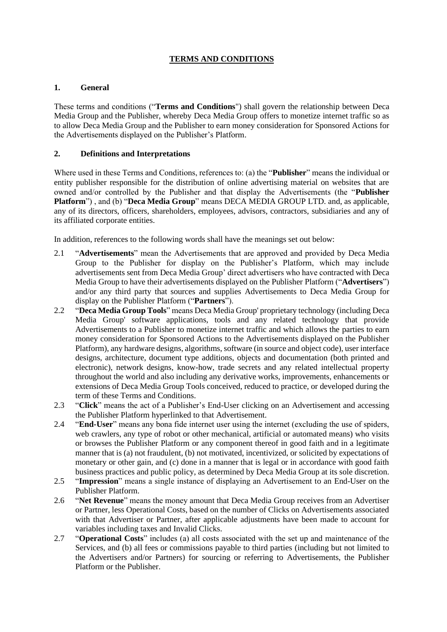# **TERMS AND CONDITIONS**

### **1. General**

These terms and conditions ("**Terms and Conditions**") shall govern the relationship between Deca Media Group and the Publisher, whereby Deca Media Group offers to monetize internet traffic so as to allow Deca Media Group and the Publisher to earn money consideration for Sponsored Actions for the Advertisements displayed on the Publisher's Platform.

### **2. Definitions and Interpretations**

Where used in these Terms and Conditions, references to: (a) the "**Publisher**" means the individual or entity publisher responsible for the distribution of online advertising material on websites that are owned and/or controlled by the Publisher and that display the Advertisements (the "**Publisher Platform**") , and (b) "**Deca Media Group**" means DECA MEDIA GROUP LTD. and, as applicable, any of its directors, officers, shareholders, employees, advisors, contractors, subsidiaries and any of its affiliated corporate entities.

In addition, references to the following words shall have the meanings set out below:

- 2.1 "**Advertisements**" mean the Advertisements that are approved and provided by Deca Media Group to the Publisher for display on the Publisher's Platform, which may include advertisements sent from Deca Media Group' direct advertisers who have contracted with Deca Media Group to have their advertisements displayed on the Publisher Platform ("**Advertisers**") and/or any third party that sources and supplies Advertisements to Deca Media Group for display on the Publisher Platform ("**Partners**").
- 2.2 "**Deca Media Group Tools**" means Deca Media Group' proprietary technology (including Deca Media Group' software applications, tools and any related technology that provide Advertisements to a Publisher to monetize internet traffic and which allows the parties to earn money consideration for Sponsored Actions to the Advertisements displayed on the Publisher Platform), any hardware designs, algorithms, software (in source and object code), user interface designs, architecture, document type additions, objects and documentation (both printed and electronic), network designs, know-how, trade secrets and any related intellectual property throughout the world and also including any derivative works, improvements, enhancements or extensions of Deca Media Group Tools conceived, reduced to practice, or developed during the term of these Terms and Conditions.
- 2.3 "**Click**" means the act of a Publisher's End-User clicking on an Advertisement and accessing the Publisher Platform hyperlinked to that Advertisement.
- 2.4 "**End-User**" means any bona fide internet user using the internet (excluding the use of spiders, web crawlers, any type of robot or other mechanical, artificial or automated means) who visits or browses the Publisher Platform or any component thereof in good faith and in a legitimate manner that is (a) not fraudulent, (b) not motivated, incentivized, or solicited by expectations of monetary or other gain, and (c) done in a manner that is legal or in accordance with good faith business practices and public policy, as determined by Deca Media Group at its sole discretion.
- 2.5 "**Impression**" means a single instance of displaying an Advertisement to an End-User on the Publisher Platform.
- 2.6 "**Net Revenue**" means the money amount that Deca Media Group receives from an Advertiser or Partner, less Operational Costs, based on the number of Clicks on Advertisements associated with that Advertiser or Partner, after applicable adjustments have been made to account for variables including taxes and Invalid Clicks.
- 2.7 "**Operational Costs**" includes (a) all costs associated with the set up and maintenance of the Services, and (b) all fees or commissions payable to third parties (including but not limited to the Advertisers and/or Partners) for sourcing or referring to Advertisements, the Publisher Platform or the Publisher.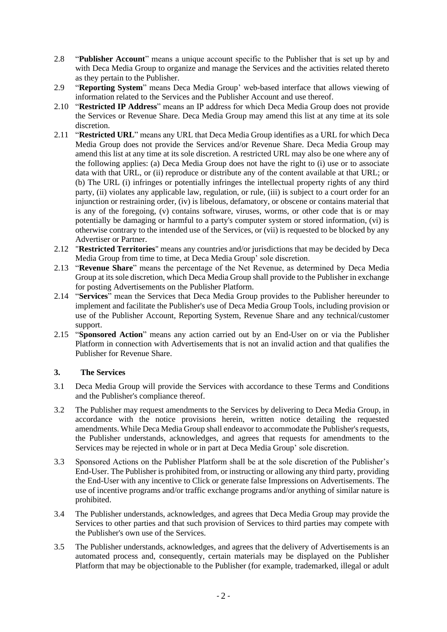- 2.8 "**Publisher Account**" means a unique account specific to the Publisher that is set up by and with Deca Media Group to organize and manage the Services and the activities related thereto as they pertain to the Publisher.
- 2.9 "**Reporting System**" means Deca Media Group' web-based interface that allows viewing of information related to the Services and the Publisher Account and use thereof.
- 2.10 "**Restricted IP Address**" means an IP address for which Deca Media Group does not provide the Services or Revenue Share. Deca Media Group may amend this list at any time at its sole discretion.
- 2.11 "**Restricted URL**" means any URL that Deca Media Group identifies as a URL for which Deca Media Group does not provide the Services and/or Revenue Share. Deca Media Group may amend this list at any time at its sole discretion. A restricted URL may also be one where any of the following applies: (a) Deca Media Group does not have the right to (i) use or to associate data with that URL, or (ii) reproduce or distribute any of the content available at that URL; or (b) The URL (i) infringes or potentially infringes the intellectual property rights of any third party, (ii) violates any applicable law, regulation, or rule, (iii) is subject to a court order for an injunction or restraining order, (iv) is libelous, defamatory, or obscene or contains material that is any of the foregoing, (v) contains software, viruses, worms, or other code that is or may potentially be damaging or harmful to a party's computer system or stored information, (vi) is otherwise contrary to the intended use of the Services, or (vii) is requested to be blocked by any Advertiser or Partner.
- 2.12 "**Restricted Territories**" means any countries and/or jurisdictions that may be decided by Deca Media Group from time to time, at Deca Media Group' sole discretion.
- 2.13 "**Revenue Share**" means the percentage of the Net Revenue, as determined by Deca Media Group at its sole discretion, which Deca Media Group shall provide to the Publisher in exchange for posting Advertisements on the Publisher Platform.
- 2.14 "**Services**" mean the Services that Deca Media Group provides to the Publisher hereunder to implement and facilitate the Publisher's use of Deca Media Group Tools, including provision or use of the Publisher Account, Reporting System, Revenue Share and any technical/customer support.
- 2.15 "**Sponsored Action**" means any action carried out by an End-User on or via the Publisher Platform in connection with Advertisements that is not an invalid action and that qualifies the Publisher for Revenue Share.

# **3. The Services**

- 3.1 Deca Media Group will provide the Services with accordance to these Terms and Conditions and the Publisher's compliance thereof.
- 3.2 The Publisher may request amendments to the Services by delivering to Deca Media Group, in accordance with the notice provisions herein, written notice detailing the requested amendments. While Deca Media Group shall endeavor to accommodate the Publisher's requests, the Publisher understands, acknowledges, and agrees that requests for amendments to the Services may be rejected in whole or in part at Deca Media Group' sole discretion.
- 3.3 Sponsored Actions on the Publisher Platform shall be at the sole discretion of the Publisher's End-User. The Publisher is prohibited from, or instructing or allowing any third party, providing the End-User with any incentive to Click or generate false Impressions on Advertisements. The use of incentive programs and/or traffic exchange programs and/or anything of similar nature is prohibited.
- 3.4 The Publisher understands, acknowledges, and agrees that Deca Media Group may provide the Services to other parties and that such provision of Services to third parties may compete with the Publisher's own use of the Services.
- 3.5 The Publisher understands, acknowledges, and agrees that the delivery of Advertisements is an automated process and, consequently, certain materials may be displayed on the Publisher Platform that may be objectionable to the Publisher (for example, trademarked, illegal or adult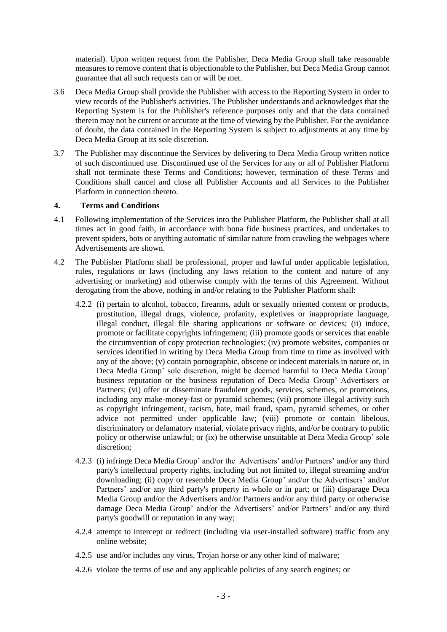material). Upon written request from the Publisher, Deca Media Group shall take reasonable measures to remove content that is objectionable to the Publisher, but Deca Media Group cannot guarantee that all such requests can or will be met.

- 3.6 Deca Media Group shall provide the Publisher with access to the Reporting System in order to view records of the Publisher's activities. The Publisher understands and acknowledges that the Reporting System is for the Publisher's reference purposes only and that the data contained therein may not be current or accurate at the time of viewing by the Publisher. For the avoidance of doubt, the data contained in the Reporting System is subject to adjustments at any time by Deca Media Group at its sole discretion.
- 3.7 The Publisher may discontinue the Services by delivering to Deca Media Group written notice of such discontinued use. Discontinued use of the Services for any or all of Publisher Platform shall not terminate these Terms and Conditions; however, termination of these Terms and Conditions shall cancel and close all Publisher Accounts and all Services to the Publisher Platform in connection thereto.

#### **4. Terms and Conditions**

- 4.1 Following implementation of the Services into the Publisher Platform, the Publisher shall at all times act in good faith, in accordance with bona fide business practices, and undertakes to prevent spiders, bots or anything automatic of similar nature from crawling the webpages where Advertisements are shown.
- 4.2 The Publisher Platform shall be professional, proper and lawful under applicable legislation, rules, regulations or laws (including any laws relation to the content and nature of any advertising or marketing) and otherwise comply with the terms of this Agreement. Without derogating from the above, nothing in and/or relating to the Publisher Platform shall:
	- 4.2.2 (i) pertain to alcohol, tobacco, firearms, adult or sexually oriented content or products, prostitution, illegal drugs, violence, profanity, expletives or inappropriate language, illegal conduct, illegal file sharing applications or software or devices; (ii) induce, promote or facilitate copyrights infringement; (iii) promote goods or services that enable the circumvention of copy protection technologies; (iv) promote websites, companies or services identified in writing by Deca Media Group from time to time as involved with any of the above; (v) contain pornographic, obscene or indecent materials in nature or, in Deca Media Group' sole discretion, might be deemed harmful to Deca Media Group' business reputation or the business reputation of Deca Media Group' Advertisers or Partners; (vi) offer or disseminate fraudulent goods, services, schemes, or promotions, including any make-money-fast or pyramid schemes; (vii) promote illegal activity such as copyright infringement, racism, hate, mail fraud, spam, pyramid schemes, or other advice not permitted under applicable law; (viii) promote or contain libelous, discriminatory or defamatory material, violate privacy rights, and/or be contrary to public policy or otherwise unlawful; or (ix) be otherwise unsuitable at Deca Media Group' sole discretion;
	- 4.2.3 (i) infringe Deca Media Group' and/or the Advertisers' and/or Partners' and/or any third party's intellectual property rights, including but not limited to, illegal streaming and/or downloading; (ii) copy or resemble Deca Media Group' and/or the Advertisers' and/or Partners' and/or any third party's property in whole or in part; or (iii) disparage Deca Media Group and/or the Advertisers and/or Partners and/or any third party or otherwise damage Deca Media Group' and/or the Advertisers' and/or Partners' and/or any third party's goodwill or reputation in any way;
	- 4.2.4 attempt to intercept or redirect (including via user-installed software) traffic from any online website;
	- 4.2.5 use and/or includes any virus, Trojan horse or any other kind of malware;
	- 4.2.6 violate the terms of use and any applicable policies of any search engines; or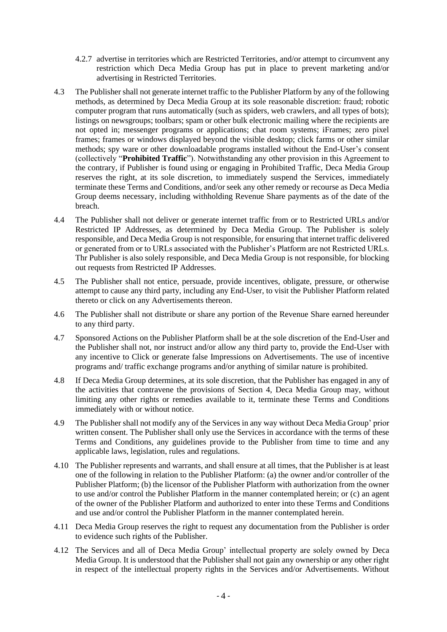- 4.2.7 advertise in territories which are Restricted Territories, and/or attempt to circumvent any restriction which Deca Media Group has put in place to prevent marketing and/or advertising in Restricted Territories.
- 4.3 The Publisher shall not generate internet traffic to the Publisher Platform by any of the following methods, as determined by Deca Media Group at its sole reasonable discretion: fraud; robotic computer program that runs automatically (such as spiders, web crawlers, and all types of bots); listings on newsgroups; toolbars; spam or other bulk electronic mailing where the recipients are not opted in; messenger programs or applications; chat room systems; iFrames; zero pixel frames; frames or windows displayed beyond the visible desktop; click farms or other similar methods; spy ware or other downloadable programs installed without the End-User's consent (collectively "**Prohibited Traffic**"). Notwithstanding any other provision in this Agreement to the contrary, if Publisher is found using or engaging in Prohibited Traffic, Deca Media Group reserves the right, at its sole discretion, to immediately suspend the Services, immediately terminate these Terms and Conditions, and/or seek any other remedy or recourse as Deca Media Group deems necessary, including withholding Revenue Share payments as of the date of the breach.
- 4.4 The Publisher shall not deliver or generate internet traffic from or to Restricted URLs and/or Restricted IP Addresses, as determined by Deca Media Group. The Publisher is solely responsible, and Deca Media Group is not responsible, for ensuring that internet traffic delivered or generated from or to URLs associated with the Publisher's Platform are not Restricted URLs. Thr Publisher is also solely responsible, and Deca Media Group is not responsible, for blocking out requests from Restricted IP Addresses.
- 4.5 The Publisher shall not entice, persuade, provide incentives, obligate, pressure, or otherwise attempt to cause any third party, including any End-User, to visit the Publisher Platform related thereto or click on any Advertisements thereon.
- 4.6 The Publisher shall not distribute or share any portion of the Revenue Share earned hereunder to any third party.
- 4.7 Sponsored Actions on the Publisher Platform shall be at the sole discretion of the End-User and the Publisher shall not, nor instruct and/or allow any third party to, provide the End-User with any incentive to Click or generate false Impressions on Advertisements. The use of incentive programs and/ traffic exchange programs and/or anything of similar nature is prohibited.
- 4.8 If Deca Media Group determines, at its sole discretion, that the Publisher has engaged in any of the activities that contravene the provisions of Section 4, Deca Media Group may, without limiting any other rights or remedies available to it, terminate these Terms and Conditions immediately with or without notice.
- 4.9 The Publisher shall not modify any of the Services in any way without Deca Media Group' prior written consent. The Publisher shall only use the Services in accordance with the terms of these Terms and Conditions, any guidelines provide to the Publisher from time to time and any applicable laws, legislation, rules and regulations.
- 4.10 The Publisher represents and warrants, and shall ensure at all times, that the Publisher is at least one of the following in relation to the Publisher Platform: (a) the owner and/or controller of the Publisher Platform; (b) the licensor of the Publisher Platform with authorization from the owner to use and/or control the Publisher Platform in the manner contemplated herein; or (c) an agent of the owner of the Publisher Platform and authorized to enter into these Terms and Conditions and use and/or control the Publisher Platform in the manner contemplated herein.
- 4.11 Deca Media Group reserves the right to request any documentation from the Publisher is order to evidence such rights of the Publisher.
- 4.12 The Services and all of Deca Media Group' intellectual property are solely owned by Deca Media Group. It is understood that the Publisher shall not gain any ownership or any other right in respect of the intellectual property rights in the Services and/or Advertisements. Without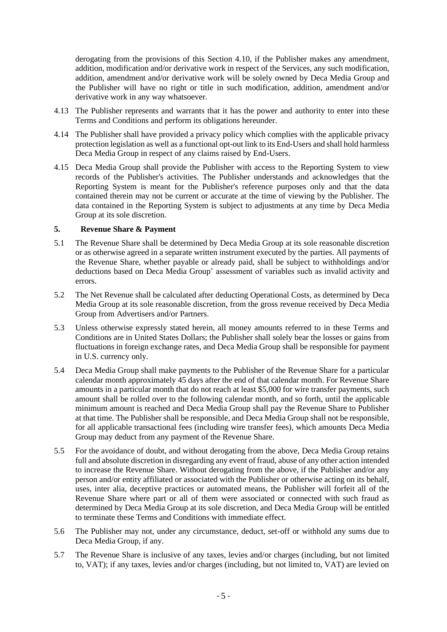derogating from the provisions of this Section 4.10, if the Publisher makes any amendment, addition, modification and/or derivative work in respect of the Services, any such modification, addition, amendment and/or derivative work will be solely owned by Deca Media Group and the Publisher will have no right or title in such modification, addition, amendment and/or derivative work in any way whatsoever.

- 4.13 The Publisher represents and warrants that it has the power and authority to enter into these Terms and Conditions and perform its obligations hereunder.
- 4.14 The Publisher shall have provided a privacy policy which complies with the applicable privacy protection legislation as well as a functional opt-out link to its End-Users and shall hold harmless Deca Media Group in respect of any claims raised by End-Users.
- 4.15 Deca Media Group shall provide the Publisher with access to the Reporting System to view records of the Publisher's activities. The Publisher understands and acknowledges that the Reporting System is meant for the Publisher's reference purposes only and that the data contained therein may not be current or accurate at the time of viewing by the Publisher. The data contained in the Reporting System is subject to adjustments at any time by Deca Media Group at its sole discretion.

#### **5. Revenue Share & Payment**

- 5.1 The Revenue Share shall be determined by Deca Media Group at its sole reasonable discretion or as otherwise agreed in a separate written instrument executed by the parties. All payments of the Revenue Share, whether payable or already paid, shall be subject to withholdings and/or deductions based on Deca Media Group' assessment of variables such as invalid activity and errors.
- 5.2 The Net Revenue shall be calculated after deducting Operational Costs, as determined by Deca Media Group at its sole reasonable discretion, from the gross revenue received by Deca Media Group from Advertisers and/or Partners.
- 5.3 Unless otherwise expressly stated herein, all money amounts referred to in these Terms and Conditions are in United States Dollars; the Publisher shall solely bear the losses or gains from fluctuations in foreign exchange rates, and Deca Media Group shall be responsible for payment in U.S. currency only.
- 5.4 Deca Media Group shall make payments to the Publisher of the Revenue Share for a particular calendar month approximately 45 days after the end of that calendar month. For Revenue Share amounts in a particular month that do not reach at least \$5,000 for wire transfer payments, such amount shall be rolled over to the following calendar month, and so forth, until the applicable minimum amount is reached and Deca Media Group shall pay the Revenue Share to Publisher at that time. The Publisher shall be responsible, and Deca Media Group shall not be responsible, for all applicable transactional fees (including wire transfer fees), which amounts Deca Media Group may deduct from any payment of the Revenue Share.
- 5.5 For the avoidance of doubt, and without derogating from the above, Deca Media Group retains full and absolute discretion in disregarding any event of fraud, abuse of any other action intended to increase the Revenue Share. Without derogating from the above, if the Publisher and/or any person and/or entity affiliated or associated with the Publisher or otherwise acting on its behalf, uses, inter alia, deceptive practices or automated means, the Publisher will forfeit all of the Revenue Share where part or all of them were associated or connected with such fraud as determined by Deca Media Group at its sole discretion, and Deca Media Group will be entitled to terminate these Terms and Conditions with immediate effect.
- 5.6 The Publisher may not, under any circumstance, deduct, set-off or withhold any sums due to Deca Media Group, if any.
- 5.7 The Revenue Share is inclusive of any taxes, levies and/or charges (including, but not limited to, VAT); if any taxes, levies and/or charges (including, but not limited to, VAT) are levied on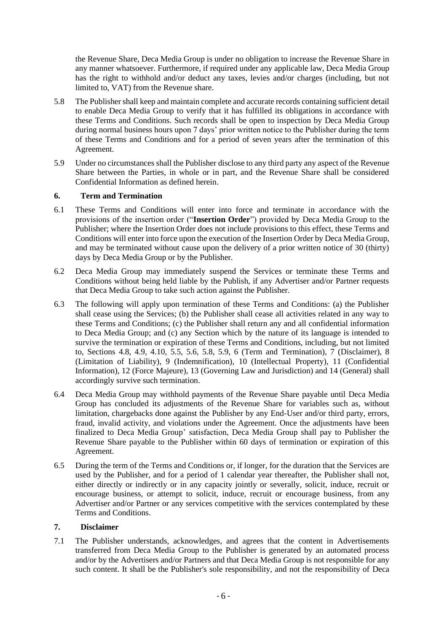the Revenue Share, Deca Media Group is under no obligation to increase the Revenue Share in any manner whatsoever. Furthermore, if required under any applicable law, Deca Media Group has the right to withhold and/or deduct any taxes, levies and/or charges (including, but not limited to, VAT) from the Revenue share.

- 5.8 The Publisher shall keep and maintain complete and accurate records containing sufficient detail to enable Deca Media Group to verify that it has fulfilled its obligations in accordance with these Terms and Conditions. Such records shall be open to inspection by Deca Media Group during normal business hours upon 7 days' prior written notice to the Publisher during the term of these Terms and Conditions and for a period of seven years after the termination of this Agreement.
- 5.9 Under no circumstances shall the Publisher disclose to any third party any aspect of the Revenue Share between the Parties, in whole or in part, and the Revenue Share shall be considered Confidential Information as defined herein.

# **6. Term and Termination**

- 6.1 These Terms and Conditions will enter into force and terminate in accordance with the provisions of the insertion order ("**Insertion Order**") provided by Deca Media Group to the Publisher; where the Insertion Order does not include provisions to this effect, these Terms and Conditions will enter into force upon the execution of the Insertion Order by Deca Media Group, and may be terminated without cause upon the delivery of a prior written notice of 30 (thirty) days by Deca Media Group or by the Publisher.
- 6.2 Deca Media Group may immediately suspend the Services or terminate these Terms and Conditions without being held liable by the Publish, if any Advertiser and/or Partner requests that Deca Media Group to take such action against the Publisher.
- 6.3 The following will apply upon termination of these Terms and Conditions: (a) the Publisher shall cease using the Services; (b) the Publisher shall cease all activities related in any way to these Terms and Conditions; (c) the Publisher shall return any and all confidential information to Deca Media Group; and (c) any Section which by the nature of its language is intended to survive the termination or expiration of these Terms and Conditions, including, but not limited to, Sections 4.8, 4.9, 4.10, 5.5, 5.6, 5.8, 5.9, 6 (Term and Termination), 7 (Disclaimer), 8 (Limitation of Liability), 9 (Indemnification), 10 (Intellectual Property), 11 (Confidential Information), 12 (Force Majeure), 13 (Governing Law and Jurisdiction) and 14 (General) shall accordingly survive such termination.
- 6.4 Deca Media Group may withhold payments of the Revenue Share payable until Deca Media Group has concluded its adjustments of the Revenue Share for variables such as, without limitation, chargebacks done against the Publisher by any End-User and/or third party, errors, fraud, invalid activity, and violations under the Agreement. Once the adjustments have been finalized to Deca Media Group' satisfaction, Deca Media Group shall pay to Publisher the Revenue Share payable to the Publisher within 60 days of termination or expiration of this Agreement.
- 6.5 During the term of the Terms and Conditions or, if longer, for the duration that the Services are used by the Publisher, and for a period of 1 calendar year thereafter, the Publisher shall not, either directly or indirectly or in any capacity jointly or severally, solicit, induce, recruit or encourage business, or attempt to solicit, induce, recruit or encourage business, from any Advertiser and/or Partner or any services competitive with the services contemplated by these Terms and Conditions.

# **7. Disclaimer**

7.1 The Publisher understands, acknowledges, and agrees that the content in Advertisements transferred from Deca Media Group to the Publisher is generated by an automated process and/or by the Advertisers and/or Partners and that Deca Media Group is not responsible for any such content. It shall be the Publisher's sole responsibility, and not the responsibility of Deca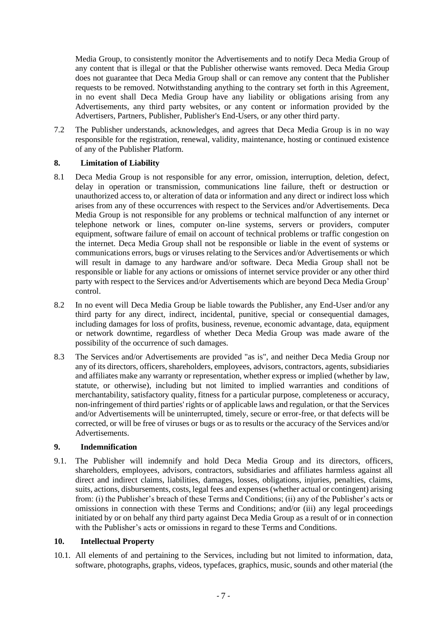Media Group, to consistently monitor the Advertisements and to notify Deca Media Group of any content that is illegal or that the Publisher otherwise wants removed. Deca Media Group does not guarantee that Deca Media Group shall or can remove any content that the Publisher requests to be removed. Notwithstanding anything to the contrary set forth in this Agreement, in no event shall Deca Media Group have any liability or obligations arising from any Advertisements, any third party websites, or any content or information provided by the Advertisers, Partners, Publisher, Publisher's End-Users, or any other third party.

7.2 The Publisher understands, acknowledges, and agrees that Deca Media Group is in no way responsible for the registration, renewal, validity, maintenance, hosting or continued existence of any of the Publisher Platform.

# **8. Limitation of Liability**

- 8.1 Deca Media Group is not responsible for any error, omission, interruption, deletion, defect, delay in operation or transmission, communications line failure, theft or destruction or unauthorized access to, or alteration of data or information and any direct or indirect loss which arises from any of these occurrences with respect to the Services and/or Advertisements. Deca Media Group is not responsible for any problems or technical malfunction of any internet or telephone network or lines, computer on-line systems, servers or providers, computer equipment, software failure of email on account of technical problems or traffic congestion on the internet. Deca Media Group shall not be responsible or liable in the event of systems or communications errors, bugs or viruses relating to the Services and/or Advertisements or which will result in damage to any hardware and/or software. Deca Media Group shall not be responsible or liable for any actions or omissions of internet service provider or any other third party with respect to the Services and/or Advertisements which are beyond Deca Media Group' control.
- 8.2 In no event will Deca Media Group be liable towards the Publisher, any End-User and/or any third party for any direct, indirect, incidental, punitive, special or consequential damages, including damages for loss of profits, business, revenue, economic advantage, data, equipment or network downtime, regardless of whether Deca Media Group was made aware of the possibility of the occurrence of such damages.
- 8.3 The Services and/or Advertisements are provided "as is", and neither Deca Media Group nor any of its directors, officers, shareholders, employees, advisors, contractors, agents, subsidiaries and affiliates make any warranty or representation, whether express or implied (whether by law, statute, or otherwise), including but not limited to implied warranties and conditions of merchantability, satisfactory quality, fitness for a particular purpose, completeness or accuracy, non-infringement of third parties' rights or of applicable laws and regulation, or that the Services and/or Advertisements will be uninterrupted, timely, secure or error-free, or that defects will be corrected, or will be free of viruses or bugs or as to results or the accuracy of the Services and/or Advertisements.

#### **9. Indemnification**

9.1. The Publisher will indemnify and hold Deca Media Group and its directors, officers, shareholders, employees, advisors, contractors, subsidiaries and affiliates harmless against all direct and indirect claims, liabilities, damages, losses, obligations, injuries, penalties, claims, suits, actions, disbursements, costs, legal fees and expenses (whether actual or contingent) arising from: (i) the Publisher's breach of these Terms and Conditions; (ii) any of the Publisher's acts or omissions in connection with these Terms and Conditions; and/or (iii) any legal proceedings initiated by or on behalf any third party against Deca Media Group as a result of or in connection with the Publisher's acts or omissions in regard to these Terms and Conditions.

#### **10. Intellectual Property**

10.1. All elements of and pertaining to the Services, including but not limited to information, data, software, photographs, graphs, videos, typefaces, graphics, music, sounds and other material (the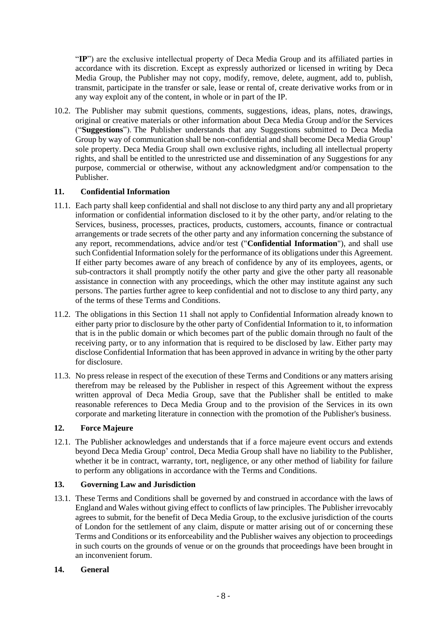"**IP**") are the exclusive intellectual property of Deca Media Group and its affiliated parties in accordance with its discretion. Except as expressly authorized or licensed in writing by Deca Media Group, the Publisher may not copy, modify, remove, delete, augment, add to, publish, transmit, participate in the transfer or sale, lease or rental of, create derivative works from or in any way exploit any of the content, in whole or in part of the IP.

10.2. The Publisher may submit questions, comments, suggestions, ideas, plans, notes, drawings, original or creative materials or other information about Deca Media Group and/or the Services ("**Suggestions**"). The Publisher understands that any Suggestions submitted to Deca Media Group by way of communication shall be non-confidential and shall become Deca Media Group' sole property. Deca Media Group shall own exclusive rights, including all intellectual property rights, and shall be entitled to the unrestricted use and dissemination of any Suggestions for any purpose, commercial or otherwise, without any acknowledgment and/or compensation to the Publisher.

# **11. Confidential Information**

- 11.1. Each party shall keep confidential and shall not disclose to any third party any and all proprietary information or confidential information disclosed to it by the other party, and/or relating to the Services, business, processes, practices, products, customers, accounts, finance or contractual arrangements or trade secrets of the other party and any information concerning the substance of any report, recommendations, advice and/or test ("**Confidential Information**"), and shall use such Confidential Information solely for the performance of its obligations under this Agreement. If either party becomes aware of any breach of confidence by any of its employees, agents, or sub-contractors it shall promptly notify the other party and give the other party all reasonable assistance in connection with any proceedings, which the other may institute against any such persons. The parties further agree to keep confidential and not to disclose to any third party, any of the terms of these Terms and Conditions.
- 11.2. The obligations in this Section 11 shall not apply to Confidential Information already known to either party prior to disclosure by the other party of Confidential Information to it, to information that is in the public domain or which becomes part of the public domain through no fault of the receiving party, or to any information that is required to be disclosed by law. Either party may disclose Confidential Information that has been approved in advance in writing by the other party for disclosure.
- 11.3. No press release in respect of the execution of these Terms and Conditions or any matters arising therefrom may be released by the Publisher in respect of this Agreement without the express written approval of Deca Media Group, save that the Publisher shall be entitled to make reasonable references to Deca Media Group and to the provision of the Services in its own corporate and marketing literature in connection with the promotion of the Publisher's business.

#### **12. Force Majeure**

12.1. The Publisher acknowledges and understands that if a force majeure event occurs and extends beyond Deca Media Group' control, Deca Media Group shall have no liability to the Publisher, whether it be in contract, warranty, tort, negligence, or any other method of liability for failure to perform any obligations in accordance with the Terms and Conditions.

# **13. Governing Law and Jurisdiction**

13.1. These Terms and Conditions shall be governed by and construed in accordance with the laws of England and Wales without giving effect to conflicts of law principles. The Publisher irrevocably agrees to submit, for the benefit of Deca Media Group, to the exclusive jurisdiction of the courts of London for the settlement of any claim, dispute or matter arising out of or concerning these Terms and Conditions or its enforceability and the Publisher waives any objection to proceedings in such courts on the grounds of venue or on the grounds that proceedings have been brought in an inconvenient forum.

#### **14. General**